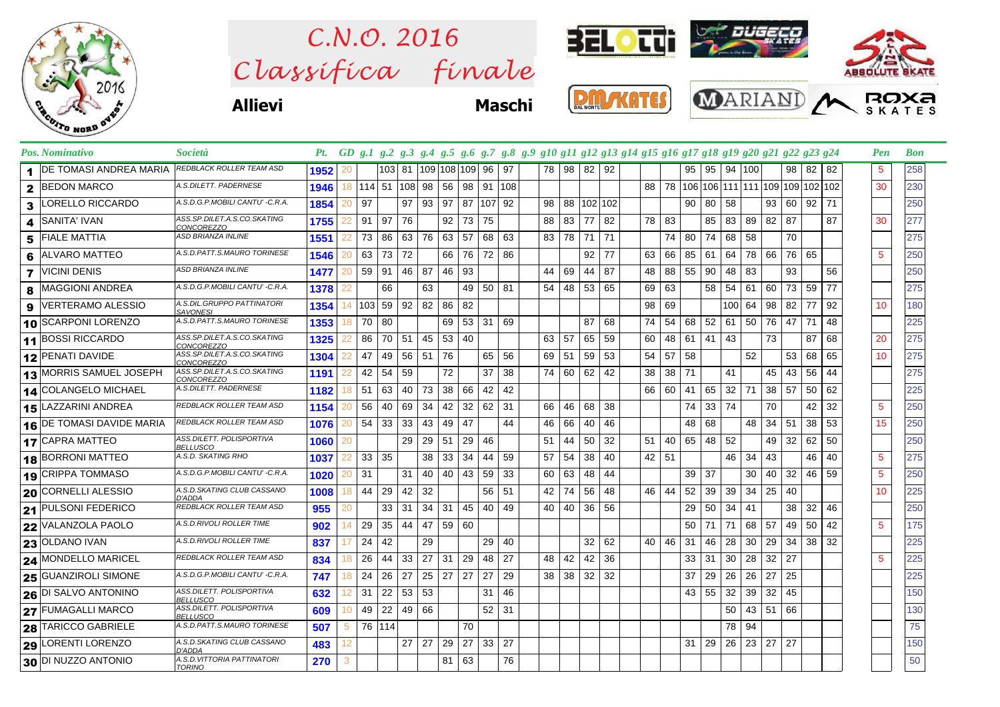

## $Clas$ s *ifica* finale *C.N.O. 2016*



**Allievi Maschi**

|  | <b>MONTE</b> |  |
|--|--------------|--|





|                 | Pos. Nominativo                            | <i>Società</i>                                   |      |     |               |                 |    |    |         |            |                      |    | Pt. GD g.1 g.2 g.3 g.4 g.5 g.6 g.7 g.8 g.9 g10 g11 g12 g13 g14 g15 g16 g17 g18 g19 g20 g21 g22 g23 g24 |                 |            |    |     |           |    |    |                 |      |         |                                       |          |       |    | Pen         | <b>Bon</b> |
|-----------------|--------------------------------------------|--------------------------------------------------|------|-----|---------------|-----------------|----|----|---------|------------|----------------------|----|--------------------------------------------------------------------------------------------------------|-----------------|------------|----|-----|-----------|----|----|-----------------|------|---------|---------------------------------------|----------|-------|----|-------------|------------|
|                 | DE TOMASI ANDREA MARIA                     | <b>REDBLACK ROLLER TEAM ASD</b>                  | 1952 | 20  |               | 103 81          |    |    |         |            | 109 108 109  96   97 |    |                                                                                                        |                 | 78 98 82   |    | 92  |           |    | 95 | 95              |      | 94 100  |                                       |          | 98 82 | 82 | 5           | 258        |
| $\mathbf{2}$    | <b>BEDON MARCO</b>                         | A.S.DILETT. PADERNESE                            | 1946 |     | 18 114 51 108 |                 |    | 98 |         |            | 56 98 91 108         |    |                                                                                                        |                 |            |    |     |           |    |    |                 |      |         | 88 78 106 106 111 111 109 109 102 102 |          |       |    | 30          | 230        |
| 3               | ORELLO RICCARDO                            | A.S.D.G.P.MOBILI CANTU' -C.R.A                   | 1854 | 20  | 97            |                 | 97 | 93 | 97      |            | 87 107 92            |    |                                                                                                        | 98              | 88 102 102 |    |     |           |    | 90 | 80              | 58   |         |                                       | 93 60 92 |       | 71 |             | 250        |
| 4               | SANITA' IVAN                               | ASS.SP.DILET.A.S.CO.SKATING<br><b>CONCOREZZO</b> | 1755 |     | 91            | 97              | 76 |    |         | $92$ 73 75 |                      |    |                                                                                                        | 88              | 83         | 77 | 82  | 78 I      | 83 |    | 85              |      | 83 89   | 82 87                                 |          |       | 87 | 30          | 277        |
| 5               | <b>FIALE MATTIA</b>                        | ASD BRIANZA INLINE                               | 1551 |     | 73            | 86              | 63 | 76 | 63 57   |            | 68 63                |    |                                                                                                        | 83 78           |            | 71 | 71  |           | 74 | 80 | 74              | 68   | 58      |                                       | 70       |       |    |             | 275        |
| 6               | <b>ALVARO MATTEO</b>                       | A.S.D.PATT.S.MAURO TORINESE                      | 1546 |     | 63            | 73 72           |    |    | 66 76   |            | 72 86                |    |                                                                                                        |                 |            | 92 | -77 | 63        | 66 | 85 | 61              |      |         | 64 78 66 76 65                        |          |       |    | 5           | 250        |
|                 | <b>VICINI DENIS</b>                        | <b>ASD BRIANZA INLINE</b>                        | 1477 | 20  | 59            | 91              | 46 | 87 | 46 93   |            |                      |    |                                                                                                        | 44              | 69         | 44 | 87  | 48        | 88 | 55 | 90              | 48   | 83      |                                       | 93       |       | 56 |             | 250        |
| 8               | MAGGIONI ANDREA                            | A.S.D.G.P.MOBILI CANTU' -C.R.A.                  | 1378 |     |               | 66              |    | 63 |         |            | 49 50 81             |    |                                                                                                        | 54              | 48         | 53 | 65  | 69        | 63 |    | 58              | 54   | 61      | 60                                    | 73 59    |       | 77 |             | 275        |
| 9               | VERTERAMO ALESSIO                          | A.S.DIL.GRUPPO PATTINATORI<br><b>SAVONESI</b>    | 1354 |     | 103           | 59 92           |    | 82 | 86      | 82         |                      |    |                                                                                                        |                 |            |    |     | 98        | 69 |    |                 |      | 100 64  | 98                                    | 82       | 77    | 92 | 10          | 180        |
|                 | 10 SCARPONI LORENZO                        | A.S.D.PATT.S.MAURO TORINESE                      | 1353 | l 8 | 70            | 80              |    |    |         |            | 69 53 31 69          |    |                                                                                                        |                 |            | 87 | 68  | 74        | 54 | 68 | 52              |      | 61   50 |                                       | 76   47  | 71    | 48 |             | 225        |
|                 | 11 BOSSI RICCARDO                          | ASS.SP.DILET.A.S.CO.SKATING<br>CONCOREZZO        | 1325 |     | 86            | 70 51           |    | 45 | 53 40   |            |                      |    |                                                                                                        | 63 57           |            | 65 | 59  | 60        | 48 | 61 | $41 \mid 43$    |      |         | 73                                    |          | 87    | 68 | 20          | 275        |
|                 | 12 PENATI DAVIDE                           | ASS.SP.DILET.A.S.CO.SKATING<br><b>CONCOREZZO</b> | 1304 |     | 47            | 49              | 56 | 51 | 76      |            | 65 56                |    |                                                                                                        | 69   51         |            | 59 | 53  | 54        | 57 | 58 |                 |      | 52      |                                       | 53       | 68    | 65 | 10          | 275        |
| 13              | <b>MORRIS SAMUEL JOSEPH</b>                | ASS.SP.DILET.A.S.CO.SKATING<br><b>CONCOREZZO</b> | 1191 |     | 42            | 54              | 59 |    | 72      |            | 37                   | 38 |                                                                                                        | 74 60           |            | 62 | 42  | 38        | 38 | 71 |                 | 41   |         | 45                                    | 43       | 56    | 44 |             | 275        |
|                 | 14 COLANGELO MICHAEL                       | A.S.DILETT. PADERNESE                            | 1182 | 18  | 51            | 63              | 40 | 73 | 38 66   |            | $42 \mid 42$         |    |                                                                                                        |                 |            |    |     | 66 I      | 60 | 41 | 65              |      | $32$ 71 |                                       | 38 57    | 50    | 62 |             | 225        |
| 15.             | LAZZARINI ANDREA                           | <b>REDBLACK ROLLER TEAM ASD</b>                  | 1154 |     | 56            | 40              | 69 | 34 | 42      | 32         | 62 31                |    |                                                                                                        | 66              | 46         | 68 | 38  |           |    | 74 | 33 <sup>l</sup> | 74   |         | 70                                    |          | 42    | 32 | 5           | 250        |
|                 | 16 DE TOMASI DAVIDE MARIA                  | <b>REDBLACK ROLLER TEAM ASD</b>                  | 1076 |     | 54            | 33 <sup>1</sup> | 33 | 43 | 49 47   |            |                      | 44 |                                                                                                        | 46              | 66         | 40 | 46  |           |    | 48 | 68              |      | 48      | $34 \mid 51$                          |          | 38    | 53 | 15          | 250        |
|                 | 17 CAPRA MATTEO                            | ASS.DILETT. POLISPORTIVA<br>BELLUSCO             | 1060 | 20  |               |                 | 29 | 29 | 51      | -29        | 46                   |    |                                                                                                        | 51              | 44         | 50 | 32  | $51 \mid$ | 40 | 65 | 48              | 52   |         |                                       | 49 32    | 62    | 50 |             | 250        |
| 18              | <b>BORRONI MATTEO</b>                      | A.S.D. SKATING RHO                               | 1037 |     | 33            | 35              |    | 38 | 33      | 34         | 44                   | 59 |                                                                                                        | 57              | 54         | 38 | 40  | $42$ 51   |    |    |                 | 46 I | 34      | 43                                    |          | 46    | 40 | $5^{\circ}$ | 275        |
| 19              | <b>CRIPPA TOMMASO</b>                      | A.S.D.G.P.MOBILI CANTU' -C.R.A.                  | 1020 |     | 31            |                 | 31 | 40 | 40   43 |            | 59 33                |    |                                                                                                        | 60              | 63         | 48 | 44  |           |    | 39 | 37              |      | 30      | 40                                    | 32       | 46    | 59 | 5           | 250        |
| 20              | <b>CORNELLI ALESSIO</b>                    | A.S.D.SKATING CLUB CASSANO<br>D'ADDA             | 1008 | 18  | 44            | 29              | 42 | 32 |         |            | 56 51                |    |                                                                                                        | 42              | 74         | 56 | 48  | 46        | 44 | 52 | 39              | 39   | 34      | 25                                    | 40       |       |    | 10          | 225        |
|                 | 21 PULSONI FEDERICO                        | REDBLACK ROLLER TEAM ASD                         | 955  |     |               | 33              | 31 | 34 | 31      | 45         | 40 49                |    |                                                                                                        | 40 l            | 40         | 36 | 56  |           |    | 29 | 50              | 34   | 41      |                                       | 38       | 32    | 46 |             | 250        |
|                 | VALANZOLA PAOLO                            | A.S.D.RIVOLI ROLLER TIME                         | 902  | 14  | 29            | 35              | 44 | 47 | 59 60   |            |                      |    |                                                                                                        |                 |            |    |     |           |    | 50 | 71              | 71   | 68      | 57                                    | 49       | 50    | 42 | 5           | 175        |
|                 | <b>23 OLDANO IVAN</b>                      | A.S.D.RIVOLI ROLLER TIME                         | 837  |     | 24            | 42              |    | 29 |         |            | 29 40                |    |                                                                                                        |                 |            | 32 | 62  | 40        | 46 | 31 | 46              | 28   | 30      | 29                                    | 34       | 38    | 32 |             | 225        |
|                 | 24 MONDELLO MARICEL                        | REDBLACK ROLLER TEAM ASD                         | 834  |     | 26            | 44              | 33 | 27 | 31      | 29         | 48 27                |    |                                                                                                        | 48              | 42         | 42 | 36  |           |    | 33 | 31              | 30   | 28      | 32 27                                 |          |       |    | 5           | 225        |
| 25 <sub>1</sub> | <b>GUANZIROLI SIMONE</b>                   | A.S.D.G.P.MOBILI CANTU' -C.R.A.                  | 747  | 18  | 24            | 26              | 27 | 25 | 27      | 27         | 27                   | 29 |                                                                                                        | 38 <sup>1</sup> | 38         | 32 | 32  |           |    | 37 | 29              | 26   | 26      | 27                                    | 25       |       |    |             | 225        |
|                 | $\overline{\mathbf{26}}$ DI SALVO ANTONINO | ASS.DILETT. POLISPORTIVA<br><b>BELLUSCO</b>      | 632  |     | 31            | $22 \mid 53$    |    | 53 |         |            | $31 \mid 46$         |    |                                                                                                        |                 |            |    |     |           |    | 43 | 55              | 32   |         | $39$ 32                               | 45       |       |    |             | 150        |
|                 | 27 FUMAGALLI MARCO                         | ASS.DILETT. POLISPORTIVA<br><b>BELLUSCO</b>      | 609  | 10  | 49            | 22              | 49 | 66 |         |            | $52$ 31              |    |                                                                                                        |                 |            |    |     |           |    |    |                 | 50   |         | $43 \mid 51 \mid 66$                  |          |       |    |             | 130        |
| 28              | <b>TARICCO GABRIELE</b>                    | A.S.D.PATT.S.MAURO TORINESE                      | 507  | 5   | 76   114      |                 |    |    |         | 70         |                      |    |                                                                                                        |                 |            |    |     |           |    |    |                 |      | 78 94   |                                       |          |       |    |             | 75         |
| 29              | LORENTI LORENZO                            | A.S.D.SKATING CLUB CASSANO<br>D'ADDA             | 483  |     |               |                 | 27 | 27 | 29 27   |            | 33 27                |    |                                                                                                        |                 |            |    |     |           |    | 31 | 29              |      | 26 23   | 27                                    | 27       |       |    |             | 150        |
|                 | 30 DI NUZZO ANTONIO                        | A.S.D.VITTORIA PATTINATORI<br>TORINO             | 270  | 3   |               |                 |    |    | 81      | 63         |                      | 76 |                                                                                                        |                 |            |    |     |           |    |    |                 |      |         |                                       |          |       |    |             | 50         |